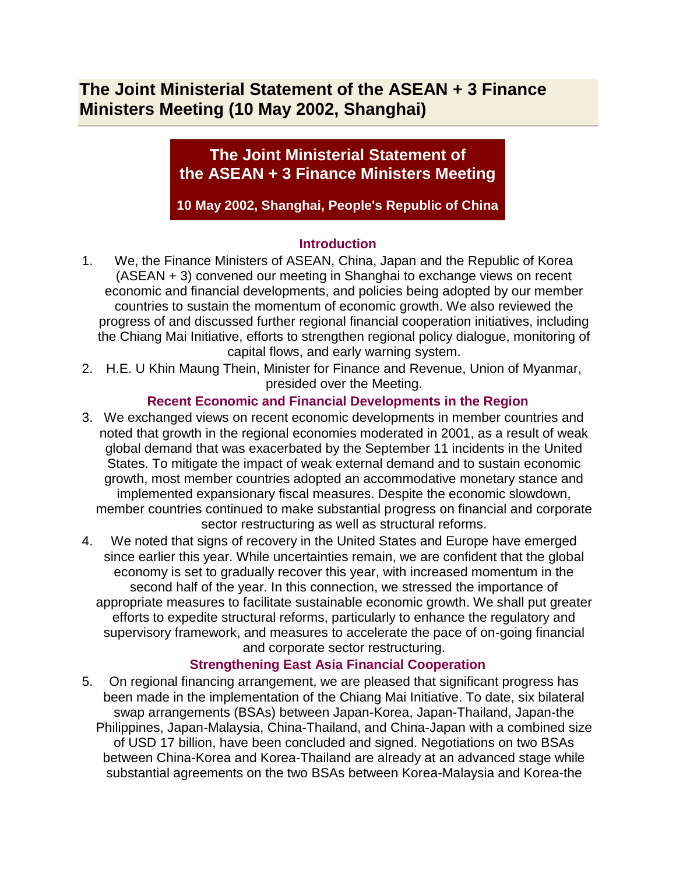# **The Joint Ministerial Statement of the ASEAN + 3 Finance Ministers Meeting (10 May 2002, Shanghai)**

## **The Joint Ministerial Statement of the ASEAN + 3 Finance Ministers Meeting**

**10 May 2002, Shanghai, People's Republic of China**

### **Introduction**

- 1. We, the Finance Ministers of ASEAN, China, Japan and the Republic of Korea (ASEAN + 3) convened our meeting in Shanghai to exchange views on recent economic and financial developments, and policies being adopted by our member countries to sustain the momentum of economic growth. We also reviewed the progress of and discussed further regional financial cooperation initiatives, including the Chiang Mai Initiative, efforts to strengthen regional policy dialogue, monitoring of capital flows, and early warning system.
- 2. H.E. U Khin Maung Thein, Minister for Finance and Revenue, Union of Myanmar, presided over the Meeting.

### **Recent Economic and Financial Developments in the Region**

- 3. We exchanged views on recent economic developments in member countries and noted that growth in the regional economies moderated in 2001, as a result of weak global demand that was exacerbated by the September 11 incidents in the United States. To mitigate the impact of weak external demand and to sustain economic growth, most member countries adopted an accommodative monetary stance and implemented expansionary fiscal measures. Despite the economic slowdown, member countries continued to make substantial progress on financial and corporate sector restructuring as well as structural reforms.
- 4. We noted that signs of recovery in the United States and Europe have emerged since earlier this year. While uncertainties remain, we are confident that the global economy is set to gradually recover this year, with increased momentum in the second half of the year. In this connection, we stressed the importance of appropriate measures to facilitate sustainable economic growth. We shall put greater efforts to expedite structural reforms, particularly to enhance the regulatory and supervisory framework, and measures to accelerate the pace of on-going financial and corporate sector restructuring.

### **Strengthening East Asia Financial Cooperation**

5. On regional financing arrangement, we are pleased that significant progress has been made in the implementation of the Chiang Mai Initiative. To date, six bilateral swap arrangements (BSAs) between Japan-Korea, Japan-Thailand, Japan-the Philippines, Japan-Malaysia, China-Thailand, and China-Japan with a combined size of USD 17 billion, have been concluded and signed. Negotiations on two BSAs between China-Korea and Korea-Thailand are already at an advanced stage while substantial agreements on the two BSAs between Korea-Malaysia and Korea-the